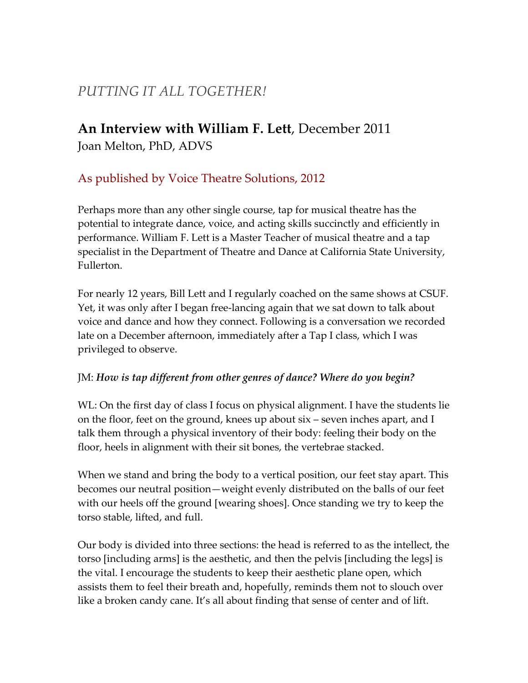# *PUTTING IT ALL TOGETHER!*

## **An Interview with William F. Lett**, December 2011 Joan Melton, PhD, ADVS

## As published by Voice Theatre Solutions, 2012

Perhaps more than any other single course, tap for musical theatre has the potential to integrate dance, voice, and acting skills succinctly and efficiently in performance. William F. Lett is a Master Teacher of musical theatre and a tap specialist in the Department of Theatre and Dance at California State University, Fullerton.

For nearly 12 years, Bill Lett and I regularly coached on the same shows at CSUF. Yet, it was only after I began free-lancing again that we sat down to talk about voice and dance and how they connect. Following is a conversation we recorded late on a December afternoon, immediately after a Tap I class, which I was privileged to observe.

## JM: *How is tap different from other genres of dance? Where do you begin?*

WL: On the first day of class I focus on physical alignment. I have the students lie on the floor, feet on the ground, knees up about six – seven inches apart, and I talk them through a physical inventory of their body: feeling their body on the floor, heels in alignment with their sit bones, the vertebrae stacked.

When we stand and bring the body to a vertical position, our feet stay apart. This becomes our neutral position—weight evenly distributed on the balls of our feet with our heels off the ground [wearing shoes]. Once standing we try to keep the torso stable, lifted, and full.

Our body is divided into three sections: the head is referred to as the intellect, the torso [including arms] is the aesthetic, and then the pelvis [including the legs] is the vital. I encourage the students to keep their aesthetic plane open, which assists them to feel their breath and, hopefully, reminds them not to slouch over like a broken candy cane. It's all about finding that sense of center and of lift.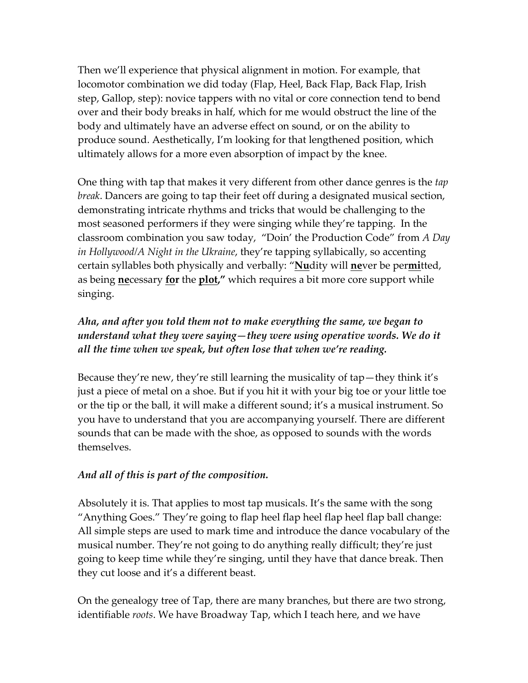Then we'll experience that physical alignment in motion. For example, that locomotor combination we did today (Flap, Heel, Back Flap, Back Flap, Irish step, Gallop, step): novice tappers with no vital or core connection tend to bend over and their body breaks in half, which for me would obstruct the line of the body and ultimately have an adverse effect on sound, or on the ability to produce sound. Aesthetically, I'm looking for that lengthened position, which ultimately allows for a more even absorption of impact by the knee.

One thing with tap that makes it very different from other dance genres is the *tap break*. Dancers are going to tap their feet off during a designated musical section, demonstrating intricate rhythms and tricks that would be challenging to the most seasoned performers if they were singing while they're tapping. In the classroom combination you saw today, "Doin' the Production Code" from *A Day in Hollywood/A Night in the Ukraine*, they're tapping syllabically, so accenting certain syllables both physically and verbally: "**Nu**dity will **ne**ver be per**mi**tted, as being **ne**cessary **for** the **plot,"** which requires a bit more core support while singing.

## *Aha, and after you told them not to make everything the same, we began to understand what they were saying—they were using operative words. We do it all the time when we speak, but often lose that when we're reading.*

Because they're new, they're still learning the musicality of tap—they think it's just a piece of metal on a shoe. But if you hit it with your big toe or your little toe or the tip or the ball, it will make a different sound; it's a musical instrument. So you have to understand that you are accompanying yourself. There are different sounds that can be made with the shoe, as opposed to sounds with the words themselves.

#### *And all of this is part of the composition.*

Absolutely it is. That applies to most tap musicals. It's the same with the song "Anything Goes." They're going to flap heel flap heel flap heel flap ball change: All simple steps are used to mark time and introduce the dance vocabulary of the musical number. They're not going to do anything really difficult; they're just going to keep time while they're singing, until they have that dance break. Then they cut loose and it's a different beast.

On the genealogy tree of Tap, there are many branches, but there are two strong, identifiable *roots*. We have Broadway Tap, which I teach here, and we have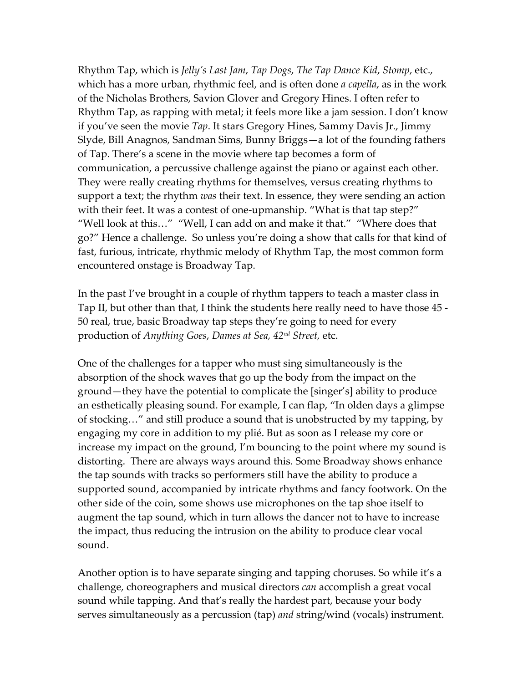Rhythm Tap, which is *Jelly's Last Jam*, *Tap Dogs*, *The Tap Dance Kid*, *Stomp*, etc., which has a more urban, rhythmic feel, and is often done *a capella*, as in the work of the Nicholas Brothers, Savion Glover and Gregory Hines. I often refer to Rhythm Tap, as rapping with metal; it feels more like a jam session. I don't know if you've seen the movie *Tap*. It stars Gregory Hines, Sammy Davis Jr., Jimmy Slyde, Bill Anagnos, Sandman Sims, Bunny Briggs—a lot of the founding fathers of Tap. There's a scene in the movie where tap becomes a form of communication, a percussive challenge against the piano or against each other. They were really creating rhythms for themselves, versus creating rhythms to support a text; the rhythm *was* their text. In essence, they were sending an action with their feet. It was a contest of one-upmanship. "What is that tap step?" "Well look at this…" "Well, I can add on and make it that." "Where does that go?" Hence a challenge. So unless you're doing a show that calls for that kind of fast, furious, intricate, rhythmic melody of Rhythm Tap, the most common form encountered onstage is Broadway Tap.

In the past I've brought in a couple of rhythm tappers to teach a master class in Tap II, but other than that, I think the students here really need to have those 45 - 50 real, true, basic Broadway tap steps they're going to need for every production of *Anything Goes*, *Dames at Sea, 42nd Street,* etc.

One of the challenges for a tapper who must sing simultaneously is the absorption of the shock waves that go up the body from the impact on the ground—they have the potential to complicate the [singer's] ability to produce an esthetically pleasing sound. For example, I can flap, "In olden days a glimpse of stocking…" and still produce a sound that is unobstructed by my tapping, by engaging my core in addition to my plié. But as soon as I release my core or increase my impact on the ground, I'm bouncing to the point where my sound is distorting. There are always ways around this. Some Broadway shows enhance the tap sounds with tracks so performers still have the ability to produce a supported sound, accompanied by intricate rhythms and fancy footwork. On the other side of the coin, some shows use microphones on the tap shoe itself to augment the tap sound, which in turn allows the dancer not to have to increase the impact, thus reducing the intrusion on the ability to produce clear vocal sound.

Another option is to have separate singing and tapping choruses. So while it's a challenge, choreographers and musical directors *can* accomplish a great vocal sound while tapping. And that's really the hardest part, because your body serves simultaneously as a percussion (tap) *and* string/wind (vocals) instrument.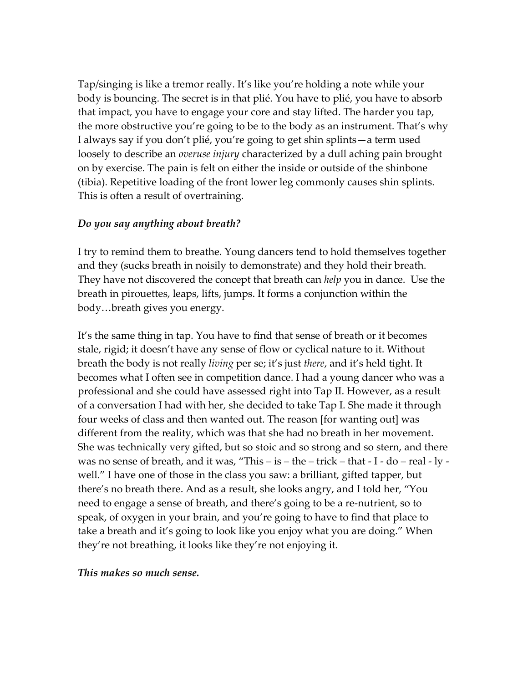Tap/singing is like a tremor really. It's like you're holding a note while your body is bouncing. The secret is in that plié. You have to plié, you have to absorb that impact, you have to engage your core and stay lifted. The harder you tap, the more obstructive you're going to be to the body as an instrument. That's why I always say if you don't plié, you're going to get shin splints—a term used loosely to describe an *overuse injury* characterized by a dull aching pain brought on by exercise. The pain is felt on either the inside or outside of the shinbone (tibia). Repetitive loading of the front lower leg commonly causes shin splints. This is often a result of overtraining.

#### *Do you say anything about breath?*

I try to remind them to breathe. Young dancers tend to hold themselves together and they (sucks breath in noisily to demonstrate) and they hold their breath. They have not discovered the concept that breath can *help* you in dance. Use the breath in pirouettes, leaps, lifts, jumps. It forms a conjunction within the body…breath gives you energy.

It's the same thing in tap. You have to find that sense of breath or it becomes stale, rigid; it doesn't have any sense of flow or cyclical nature to it. Without breath the body is not really *living* per se; it's just *there*, and it's held tight. It becomes what I often see in competition dance. I had a young dancer who was a professional and she could have assessed right into Tap II. However, as a result of a conversation I had with her, she decided to take Tap I. She made it through four weeks of class and then wanted out. The reason [for wanting out] was different from the reality, which was that she had no breath in her movement. She was technically very gifted, but so stoic and so strong and so stern, and there was no sense of breath, and it was, "This  $-$  is  $-$  the  $-$  trick  $-$  that  $-$  I  $-$  do  $-$  real  $-$  ly  $$ well." I have one of those in the class you saw: a brilliant, gifted tapper, but there's no breath there. And as a result, she looks angry, and I told her, "You need to engage a sense of breath, and there's going to be a re-nutrient, so to speak, of oxygen in your brain, and you're going to have to find that place to take a breath and it's going to look like you enjoy what you are doing." When they're not breathing, it looks like they're not enjoying it.

*This makes so much sense.*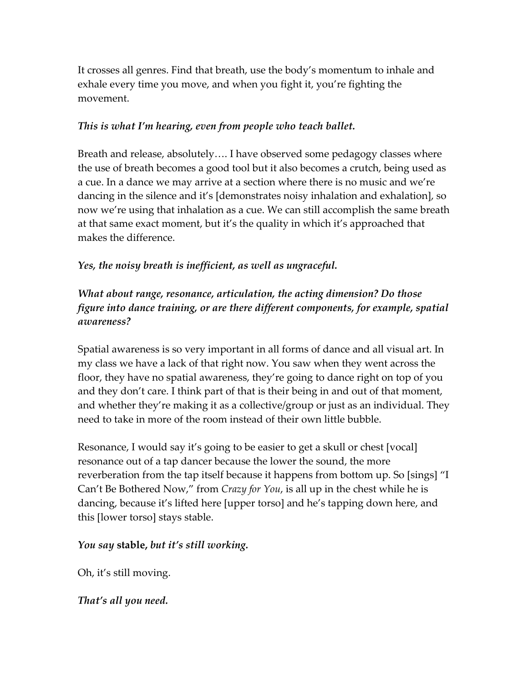It crosses all genres. Find that breath, use the body's momentum to inhale and exhale every time you move, and when you fight it, you're fighting the movement.

#### *This is what I'm hearing, even from people who teach ballet.*

Breath and release, absolutely…. I have observed some pedagogy classes where the use of breath becomes a good tool but it also becomes a crutch, being used as a cue. In a dance we may arrive at a section where there is no music and we're dancing in the silence and it's [demonstrates noisy inhalation and exhalation], so now we're using that inhalation as a cue. We can still accomplish the same breath at that same exact moment, but it's the quality in which it's approached that makes the difference.

#### *Yes, the noisy breath is inefficient, as well as ungraceful.*

## *What about range, resonance, articulation, the acting dimension? Do those figure into dance training, or are there different components, for example, spatial awareness?*

Spatial awareness is so very important in all forms of dance and all visual art. In my class we have a lack of that right now. You saw when they went across the floor, they have no spatial awareness, they're going to dance right on top of you and they don't care. I think part of that is their being in and out of that moment, and whether they're making it as a collective/group or just as an individual. They need to take in more of the room instead of their own little bubble.

Resonance, I would say it's going to be easier to get a skull or chest [vocal] resonance out of a tap dancer because the lower the sound, the more reverberation from the tap itself because it happens from bottom up. So [sings] "I Can't Be Bothered Now," from *Crazy for You*, is all up in the chest while he is dancing, because it's lifted here [upper torso] and he's tapping down here, and this [lower torso] stays stable.

#### *You say* **stable,** *but it's still working.*

Oh, it's still moving.

*That's all you need.*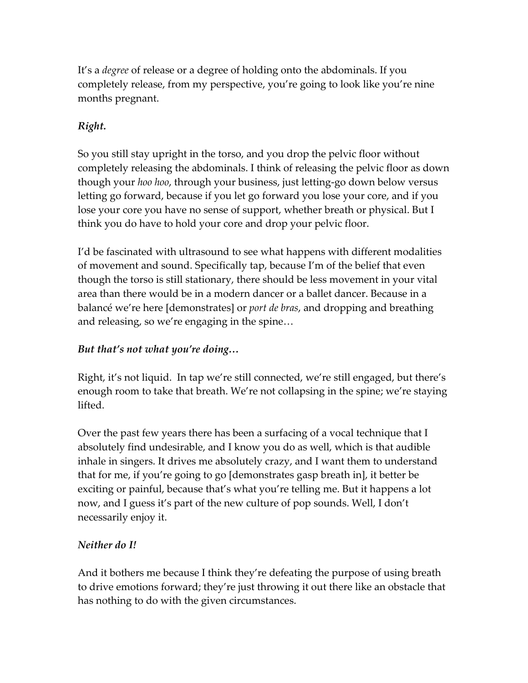It's a *degree* of release or a degree of holding onto the abdominals. If you completely release, from my perspective, you're going to look like you're nine months pregnant.

## *Right.*

So you still stay upright in the torso, and you drop the pelvic floor without completely releasing the abdominals. I think of releasing the pelvic floor as down though your *hoo hoo*, through your business, just letting-go down below versus letting go forward, because if you let go forward you lose your core, and if you lose your core you have no sense of support, whether breath or physical. But I think you do have to hold your core and drop your pelvic floor.

I'd be fascinated with ultrasound to see what happens with different modalities of movement and sound. Specifically tap, because I'm of the belief that even though the torso is still stationary, there should be less movement in your vital area than there would be in a modern dancer or a ballet dancer. Because in a balancé we're here [demonstrates] or *port de bras*, and dropping and breathing and releasing, so we're engaging in the spine…

## *But that's not what you're doing…*

Right, it's not liquid. In tap we're still connected, we're still engaged, but there's enough room to take that breath. We're not collapsing in the spine; we're staying lifted.

Over the past few years there has been a surfacing of a vocal technique that I absolutely find undesirable, and I know you do as well, which is that audible inhale in singers. It drives me absolutely crazy, and I want them to understand that for me, if you're going to go [demonstrates gasp breath in], it better be exciting or painful, because that's what you're telling me. But it happens a lot now, and I guess it's part of the new culture of pop sounds. Well, I don't necessarily enjoy it.

## *Neither do I!*

And it bothers me because I think they're defeating the purpose of using breath to drive emotions forward; they're just throwing it out there like an obstacle that has nothing to do with the given circumstances.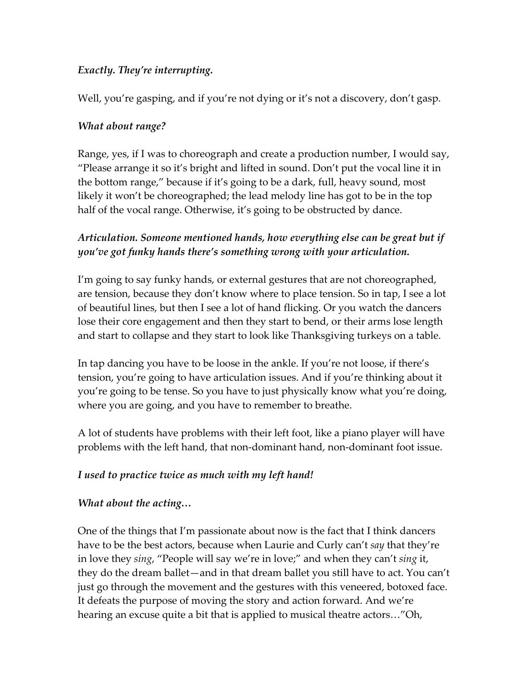#### *Exactly. They're interrupting.*

Well, you're gasping, and if you're not dying or it's not a discovery, don't gasp.

## *What about range?*

Range, yes, if I was to choreograph and create a production number, I would say, "Please arrange it so it's bright and lifted in sound. Don't put the vocal line it in the bottom range," because if it's going to be a dark, full, heavy sound, most likely it won't be choreographed; the lead melody line has got to be in the top half of the vocal range. Otherwise, it's going to be obstructed by dance.

## *Articulation. Someone mentioned hands, how everything else can be great but if you've got funky hands there's something wrong with your articulation.*

I'm going to say funky hands, or external gestures that are not choreographed, are tension, because they don't know where to place tension. So in tap, I see a lot of beautiful lines, but then I see a lot of hand flicking. Or you watch the dancers lose their core engagement and then they start to bend, or their arms lose length and start to collapse and they start to look like Thanksgiving turkeys on a table.

In tap dancing you have to be loose in the ankle. If you're not loose, if there's tension, you're going to have articulation issues. And if you're thinking about it you're going to be tense. So you have to just physically know what you're doing, where you are going, and you have to remember to breathe.

A lot of students have problems with their left foot, like a piano player will have problems with the left hand, that non-dominant hand, non-dominant foot issue.

## *I used to practice twice as much with my left hand!*

#### *What about the acting…*

One of the things that I'm passionate about now is the fact that I think dancers have to be the best actors, because when Laurie and Curly can't *say* that they're in love they *sing*, "People will say we're in love;" and when they can't *sing* it, they do the dream ballet—and in that dream ballet you still have to act. You can't just go through the movement and the gestures with this veneered, botoxed face. It defeats the purpose of moving the story and action forward. And we're hearing an excuse quite a bit that is applied to musical theatre actors…"Oh,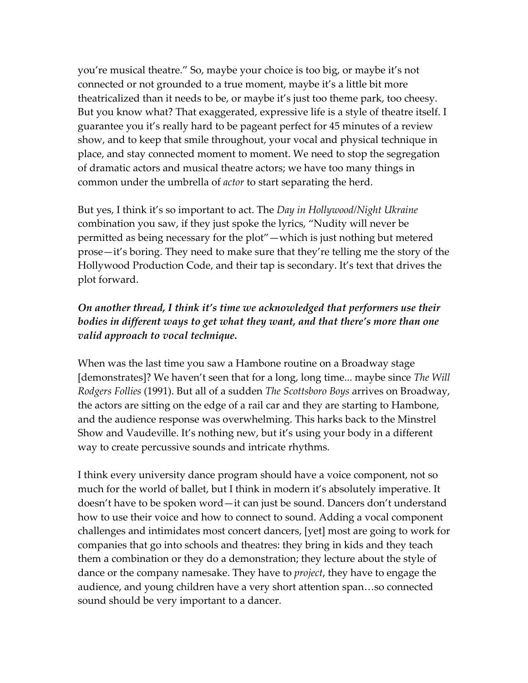you're musical theatre." So, maybe your choice is too big, or maybe it's not connected or not grounded to a true moment, maybe it's a little bit more theatricalized than it needs to be, or maybe it's just too theme park, too cheesy. But you know what? That exaggerated, expressive life is a style of theatre itself. I guarantee you it's really hard to be pageant perfect for 45 minutes of a review show, and to keep that smile throughout, your vocal and physical technique in place, and stay connected moment to moment. We need to stop the segregation of dramatic actors and musical theatre actors; we have too many things in common under the umbrella of *actor* to start separating the herd.

But yes, I think it's so important to act. The *Day in Hollywood/Night Ukraine* combination you saw, if they just spoke the lyrics, "Nudity will never be permitted as being necessary for the plot"—which is just nothing but metered prose—it's boring. They need to make sure that they're telling me the story of the Hollywood Production Code, and their tap is secondary. It's text that drives the plot forward.

## *On another thread, I think it's time we acknowledged that performers use their bodies in different ways to get what they want, and that there's more than one valid approach to vocal technique.*

When was the last time you saw a Hambone routine on a Broadway stage [demonstrates]? We haven't seen that for a long, long time... maybe since *The Will Rodgers Follies* (1991). But all of a sudden *The Scottsboro Boys* arrives on Broadway, the actors are sitting on the edge of a rail car and they are starting to Hambone, and the audience response was overwhelming. This harks back to the Minstrel Show and Vaudeville. It's nothing new, but it's using your body in a different way to create percussive sounds and intricate rhythms.

I think every university dance program should have a voice component, not so much for the world of ballet, but I think in modern it's absolutely imperative. It doesn't have to be spoken word—it can just be sound. Dancers don't understand how to use their voice and how to connect to sound. Adding a vocal component challenges and intimidates most concert dancers, [yet] most are going to work for companies that go into schools and theatres: they bring in kids and they teach them a combination or they do a demonstration; they lecture about the style of dance or the company namesake. They have to *project*, they have to engage the audience, and young children have a very short attention span…so connected sound should be very important to a dancer.